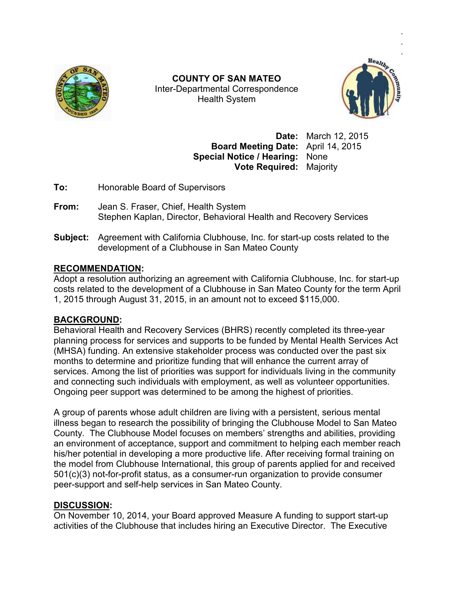

Inter Inter-Departmental Correspondence **COUNTY OF SAN MATEO**  Health System



.

**Date:** March 12, 2015 **Board Meeting Date:** April 14, 2015 **Special Notice / Hearing:** None **Vote Required:** Majority

**To:** Honorable Board of Supervisors

- **To:** Honorable Board of Supervisors<br>**From:** Jean S. Fraser, Chief, Health System Stephen Kaplan, Director, Behavioral Health and Recovery Services
- Stephen Kaplan, Director, Behavioral Health and Recovery Services<br>**Subject:** Agreement with California Clubhouse, Inc. for start-up costs related to the development of a Clubhouse in San Mateo County April 14, 2015<br>None<br>Majority<br>ecovery Services<br>up costs related to the<br>ubhouse, Inc. for start-up

# **RECOMMENDATION:**

development of a Clubhouse in San Mateo County<br>RECOMMENDATION:<br>Adopt a resolution authorizing an agreement with California Clubhouse, Inc. for start costs related to the development of a Clubhouse in San Mateo County for the term April 1, 2015 through August 31, 2015, in an amount not to exceed \$115,000.

# **BACKGROUND:**

1, 2015 through August 31, 2015, in an amount not to exceed \$115,000.<br><u>BACKGROUND</u>:<br>Behavioral Health and Recovery Services (BHRS) recently completed its three-year planning process for services and supports to be funded by Mental Health Services Act (MHSA) funding. An extensive stakeholder process was conducted over the past six months to determine and prioritize funding that will enhance the current array of planning process for services and supports to be funded by Mental Health Services Act<br>(MHSA) funding. An extensive stakeholder process was conducted over the past six<br>months to determine and prioritize funding that will en and connecting such individuals with employment, as well as volunteer opportunities. Ongoing peer support was determined to be among the highest of priorities.

A group of parents whose adult children are living with a group of persistent, serious mental illness began to research the possibility of bringing the Clubhouse Model to San Mateo illness began to research the possibility of bringing the Clubhouse Model to San Mateo<br>County. The Clubhouse Model focuses on members' strengths and abilities, providing an environment of acceptance, support and commitment to helping each member reach an environment of acceptance, support and commitment to helping each member reacl<br>his/her potential in developing a more productive life. After receiving formal training on the model from Clubhouse International, this group of parents applied for and received the model from Clubhouse International, this group of parents applied for and received<br>501(c)(3) not-for-profit status, as a consumer-run organization to provide consumer peer-support and self-help services in San Mateo County. status, as a consumer-run organization to provide consumer<br>help services in San Mateo County.<br>4, your Board approved Measure A funding to support start-up

### **DISCUSSION:**

On November 10, 2014, your Board approved Measure A funding to support start peer-support and self-help services in San Mateo County.<br>DISCUSSION:<br>On November 10, 2014, your Board approved Measure A funding to support start-up<br>activities of the Clubhouse that includes hiring an Executive Director.